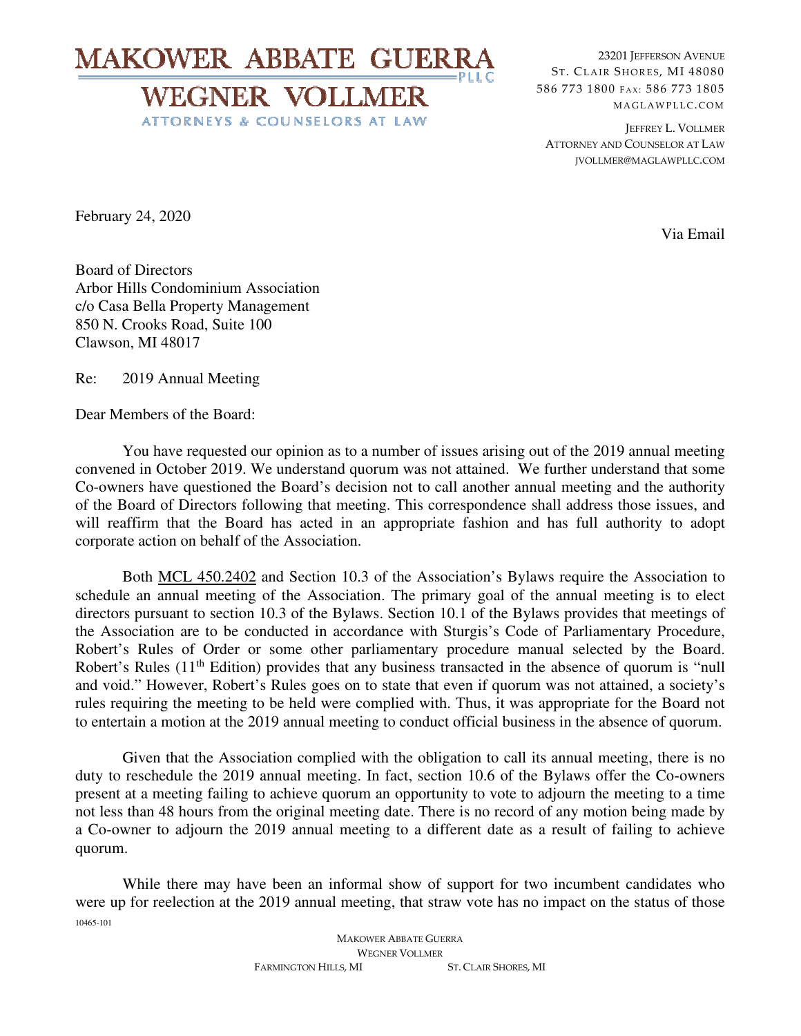

## **WEGNER VOLLMER**

ATTORNEYS & COUNSELORS AT LAW

23201 JEFFERSON AVENUE ST. CLAIR SHORES, MI 48080 586 773 1800 FAX: 586 773 1805 M A G L A W P L L C. COM

JEFFREY L. VOLLMER ATTORNEY AND COUNSELOR AT LAW JVOLLMER@MAGLAWPLLC.COM

February 24, 2020

Via Email

Board of Directors Arbor Hills Condominium Association c/o Casa Bella Property Management 850 N. Crooks Road, Suite 100 Clawson, MI 48017

Re: 2019 Annual Meeting

Dear Members of the Board:

 You have requested our opinion as to a number of issues arising out of the 2019 annual meeting convened in October 2019. We understand quorum was not attained. We further understand that some Co-owners have questioned the Board's decision not to call another annual meeting and the authority of the Board of Directors following that meeting. This correspondence shall address those issues, and will reaffirm that the Board has acted in an appropriate fashion and has full authority to adopt corporate action on behalf of the Association.

 Both MCL 450.2402 and Section 10.3 of the Association's Bylaws require the Association to schedule an annual meeting of the Association. The primary goal of the annual meeting is to elect directors pursuant to section 10.3 of the Bylaws. Section 10.1 of the Bylaws provides that meetings of the Association are to be conducted in accordance with Sturgis's Code of Parliamentary Procedure, Robert's Rules of Order or some other parliamentary procedure manual selected by the Board. Robert's Rules (11<sup>th</sup> Edition) provides that any business transacted in the absence of quorum is "null and void." However, Robert's Rules goes on to state that even if quorum was not attained, a society's rules requiring the meeting to be held were complied with. Thus, it was appropriate for the Board not to entertain a motion at the 2019 annual meeting to conduct official business in the absence of quorum.

 Given that the Association complied with the obligation to call its annual meeting, there is no duty to reschedule the 2019 annual meeting. In fact, section 10.6 of the Bylaws offer the Co-owners present at a meeting failing to achieve quorum an opportunity to vote to adjourn the meeting to a time not less than 48 hours from the original meeting date. There is no record of any motion being made by a Co-owner to adjourn the 2019 annual meeting to a different date as a result of failing to achieve quorum.

10465-101 While there may have been an informal show of support for two incumbent candidates who were up for reelection at the 2019 annual meeting, that straw vote has no impact on the status of those